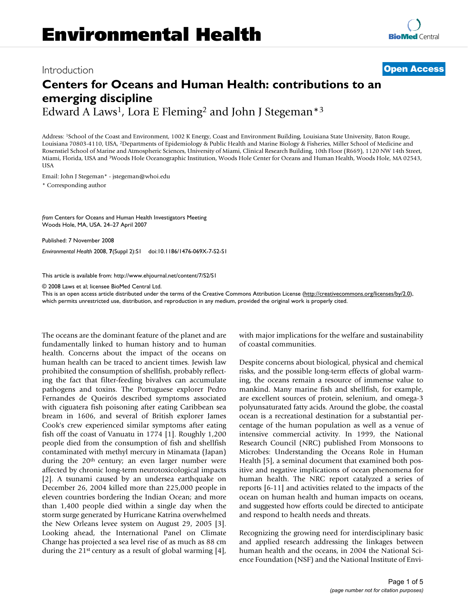### Introduction **[Open Access](http://www.biomedcentral.com/info/about/charter/)**

# **[BioMed](http://www.biomedcentral.com/)** Central

## **Centers for Oceans and Human Health: contributions to an emerging discipline**

Edward A Laws<sup>1</sup>, Lora E Fleming<sup>2</sup> and John J Stegeman<sup>\*3</sup>

Address: 1School of the Coast and Environment, 1002 K Energy, Coast and Environment Building, Louisiana State University, Baton Rouge, Louisiana 70803-4110, USA, 2Departments of Epidemiology & Public Health and Marine Biology & Fisheries, Miller School of Medicine and Rosenstiel School of Marine and Atmospheric Sciences, University of Miami, Clinical Research Building, 10th Floor (R669), 1120 NW 14th Street, Miami, Florida, USA and 3Woods Hole Oceanographic Institution, Woods Hole Center for Oceans and Human Health, Woods Hole, MA 02543, **USA** 

Email: John J Stegeman\* - jstegeman@whoi.edu

\* Corresponding author

*from* Centers for Oceans and Human Health Investigators Meeting Woods Hole, MA, USA. 24–27 April 2007

Published: 7 November 2008 *Environmental Health* 2008, **7**(Suppl 2):S1 doi:10.1186/1476-069X-7-S2-S1

[This article is available from: http://www.ehjournal.net/content/7/S2/S1](http://www.ehjournal.net/content/7/S2/S1)

© 2008 Laws et al; licensee BioMed Central Ltd.

This is an open access article distributed under the terms of the Creative Commons Attribution License [\(http://creativecommons.org/licenses/by/2.0\)](http://creativecommons.org/licenses/by/2.0), which permits unrestricted use, distribution, and reproduction in any medium, provided the original work is properly cited.

The oceans are the dominant feature of the planet and are fundamentally linked to human history and to human health. Concerns about the impact of the oceans on human health can be traced to ancient times. Jewish law prohibited the consumption of shellfish, probably reflecting the fact that filter-feeding bivalves can accumulate pathogens and toxins. The Portuguese explorer Pedro Fernandes de Queirós described symptoms associated with ciguatera fish poisoning after eating Caribbean sea bream in 1606, and several of British explorer James Cook's crew experienced similar symptoms after eating fish off the coast of Vanuatu in 1774 [1]. Roughly 1,200 people died from the consumption of fish and shellfish contaminated with methyl mercury in Minamata (Japan) during the 20th century; an even larger number were affected by chronic long-term neurotoxicological impacts [2]. A tsunami caused by an undersea earthquake on December 26, 2004 killed more than 225,000 people in eleven countries bordering the Indian Ocean; and more than 1,400 people died within a single day when the storm surge generated by Hurricane Katrina overwhelmed the New Orleans levee system on August 29, 2005 [3]. Looking ahead, the International Panel on Climate Change has projected a sea level rise of as much as 88 cm during the 21st century as a result of global warming [4],

with major implications for the welfare and sustainability of coastal communities.

Despite concerns about biological, physical and chemical risks, and the possible long-term effects of global warming, the oceans remain a resource of immense value to mankind. Many marine fish and shellfish, for example, are excellent sources of protein, selenium, and omega-3 polyunsaturated fatty acids. Around the globe, the coastal ocean is a recreational destination for a substantial percentage of the human population as well as a venue of intensive commercial activity. In 1999, the National Research Council (NRC) published From Monsoons to Microbes: Understanding the Oceans Role in Human Health [5], a seminal document that examined both positive and negative implications of ocean phenomena for human health. The NRC report catalyzed a series of reports [6-11] and activities related to the impacts of the ocean on human health and human impacts on oceans, and suggested how efforts could be directed to anticipate and respond to health needs and threats.

Recognizing the growing need for interdisciplinary basic and applied research addressing the linkages between human health and the oceans, in 2004 the National Science Foundation (NSF) and the National Institute of Envi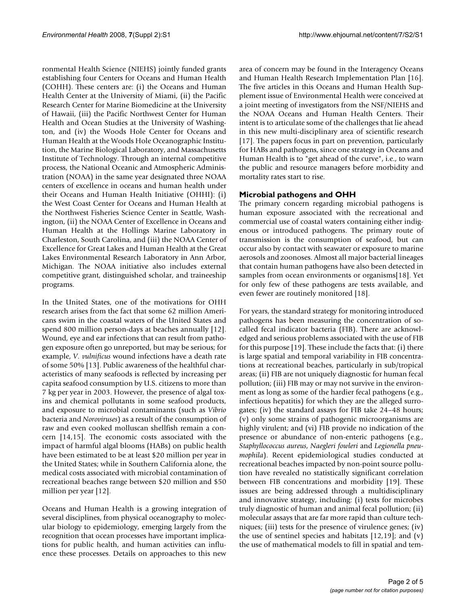ronmental Health Science (NIEHS) jointly funded grants establishing four Centers for Oceans and Human Health (COHH). These centers are: (i) the Oceans and Human Health Center at the University of Miami, (ii) the Pacific Research Center for Marine Biomedicine at the University of Hawaii, (iii) the Pacific Northwest Center for Human Health and Ocean Studies at the University of Washington, and (iv) the Woods Hole Center for Oceans and Human Health at the Woods Hole Oceanographic Institution, the Marine Biological Laboratory, and Massachusetts Institute of Technology. Through an internal competitive process, the National Oceanic and Atmospheric Administration (NOAA) in the same year designated three NOAA centers of excellence in oceans and human health under their Oceans and Human Health Initiative (OHHI): (i) the West Coast Center for Oceans and Human Health at the Northwest Fisheries Science Center in Seattle, Washington, (ii) the NOAA Center of Excellence in Oceans and Human Health at the Hollings Marine Laboratory in Charleston, South Carolina, and (iii) the NOAA Center of Excellence for Great Lakes and Human Health at the Great Lakes Environmental Research Laboratory in Ann Arbor, Michigan. The NOAA initiative also includes external competitive grant, distinguished scholar, and traineeship programs.

In the United States, one of the motivations for OHH research arises from the fact that some 62 million Americans swim in the coastal waters of the United States and spend 800 million person-days at beaches annually [12]. Wound, eye and ear infections that can result from pathogen exposure often go unreported, but may be serious; for example, *V. vulnificus* wound infections have a death rate of some 50% [13]. Public awareness of the healthful characteristics of many seafoods is reflected by increasing per capita seafood consumption by U.S. citizens to more than 7 kg per year in 2003. However, the presence of algal toxins and chemical pollutants in some seafood products, and exposure to microbial contaminants (such as *Vibrio* bacteria and *Noroviruses*) as a result of the consumption of raw and even cooked molluscan shellfish remain a concern [14,15]. The economic costs associated with the impact of harmful algal blooms (HABs) on public health have been estimated to be at least \$20 million per year in the United States; while in Southern California alone, the medical costs associated with microbial contamination of recreational beaches range between \$20 million and \$50 million per year [12].

Oceans and Human Health is a growing integration of several disciplines, from physical oceanography to molecular biology to epidemiology, emerging largely from the recognition that ocean processes have important implications for public health, and human activities can influence these processes. Details on approaches to this new

area of concern may be found in the Interagency Oceans and Human Health Research Implementation Plan [16]. The five articles in this Oceans and Human Health Supplement issue of Environmental Health were conceived at a joint meeting of investigators from the NSF/NIEHS and the NOAA Oceans and Human Health Centers. Their intent is to articulate some of the challenges that lie ahead in this new multi-disciplinary area of scientific research [17]. The papers focus in part on prevention, particularly for HABs and pathogens, since one strategy in Oceans and Human Health is to "get ahead of the curve", i.e., to warn the public and resource managers before morbidity and mortality rates start to rise.

#### **Microbial pathogens and OHH**

The primary concern regarding microbial pathogens is human exposure associated with the recreational and commercial use of coastal waters containing either indigenous or introduced pathogens. The primary route of transmission is the consumption of seafood, but can occur also by contact with seawater or exposure to marine aerosols and zoonoses. Almost all major bacterial lineages that contain human pathogens have also been detected in samples from ocean environments or organisms[18]. Yet for only few of these pathogens are tests available, and even fewer are routinely monitored [18].

For years, the standard strategy for monitoring introduced pathogens has been measuring the concentration of socalled fecal indicator bacteria (FIB). There are acknowledged and serious problems associated with the use of FIB for this purpose [19]. These include the facts that: (i) there is large spatial and temporal variability in FIB concentrations at recreational beaches, particularly in sub/tropical areas; (ii) FIB are not uniquely diagnostic for human fecal pollution; (iii) FIB may or may not survive in the environment as long as some of the hardier fecal pathogens (e.g., infectious hepatitis) for which they are the alleged surrogates; (iv) the standard assays for FIB take 24–48 hours; (v) only some strains of pathogenic microorganisms are highly virulent; and (vi) FIB provide no indication of the presence or abundance of non-enteric pathogens (e.g., *Staphyllococcus aureus*, *Naegleri fowleri* and *Legionella pneumophila*). Recent epidemiological studies conducted at recreational beaches impacted by non-point source pollution have revealed no statistically significant correlation between FIB concentrations and morbidity [19]. These issues are being addressed through a multidisciplinary and innovative strategy, including: (i) tests for microbes truly diagnostic of human and animal fecal pollution; (ii) molecular assays that are far more rapid than culture techniques; (iii) tests for the presence of virulence genes; (iv) the use of sentinel species and habitats [12,19]; and (v) the use of mathematical models to fill in spatial and tem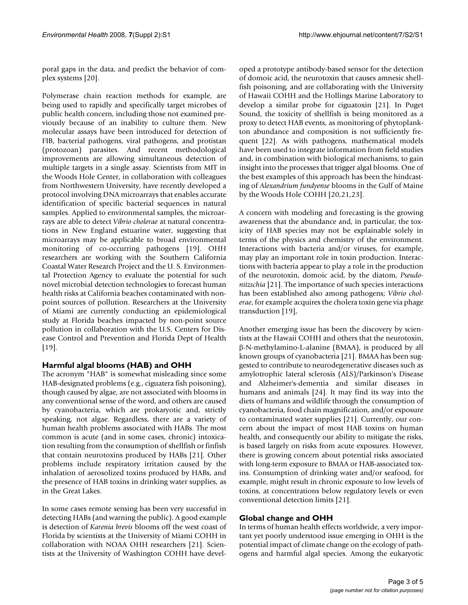poral gaps in the data, and predict the behavior of complex systems [20].

Polymerase chain reaction methods for example, are being used to rapidly and specifically target microbes of public health concern, including those not examined previously because of an inability to culture them. New molecular assays have been introduced for detection of FIB, bacterial pathogens, viral pathogens, and protistan (protozoan) parasites. And recent methodological improvements are allowing simultaneous detection of multiple targets in a single assay. Scientists from MIT in the Woods Hole Center, in collaboration with colleagues from Northwestern University, have recently developed a protocol involving DNA microarrays that enables accurate identification of specific bacterial sequences in natural samples. Applied to environmental samples, the microarrays are able to detect *Vibrio cholerae* at natural concentrations in New England estuarine water, suggesting that microarrays may be applicable to broad environmental monitoring of co-occurring pathogens [19]. OHH researchers are working with the Southern California Coastal Water Research Project and the U. S. Environmental Protection Agency to evaluate the potential for such novel microbial detection technologies to forecast human health risks at California beaches contaminated with nonpoint sources of pollution. Researchers at the University of Miami are currently conducting an epidemiological study at Florida beaches impacted by non-point source pollution in collaboration with the U.S. Centers for Disease Control and Prevention and Florida Dept of Health [19].

#### **Harmful algal blooms (HAB) and OHH**

The acronym "HAB" is somewhat misleading since some HAB-designated problems (e.g., ciguatera fish poisoning), though caused by algae, are not associated with blooms in any conventional sense of the word, and others are caused by cyanobacteria, which are prokaryotic and, strictly speaking, not algae. Regardless, there are a variety of human health problems associated with HABs. The most common is acute (and in some cases, chronic) intoxication resulting from the consumption of shellfish or finfish that contain neurotoxins produced by HABs [21]. Other problems include respiratory irritation caused by the inhalation of aerosolized toxins produced by HABs, and the presence of HAB toxins in drinking water supplies, as in the Great Lakes.

In some cases remote sensing has been very successful in detecting HABs (and warning the public). A good example is detection of *Karenia brevis* blooms off the west coast of Florida by scientists at the University of Miami COHH in collaboration with NOAA OHH researchers [21]. Scientists at the University of Washington COHH have developed a prototype antibody-based sensor for the detection of domoic acid, the neurotoxin that causes amnesic shellfish poisoning, and are collaborating with the University of Hawaii COHH and the Hollings Marine Laboratory to develop a similar probe for ciguatoxin [21]. In Puget Sound, the toxicity of shellfish is being monitored as a proxy to detect HAB events, as monitoring of phytoplankton abundance and composition is not sufficiently frequent [22]. As with pathogens, mathematical models have been used to integrate information from field studies and, in combination with biological mechanisms, to gain insight into the processes that trigger algal blooms. One of the best examples of this approach has been the hindcasting of *Alexandrium fundyense* blooms in the Gulf of Maine by the Woods Hole COHH [20,21,23].

A concern with modeling and forecasting is the growing awareness that the abundance and, in particular, the toxicity of HAB species may not be explainable solely in terms of the physics and chemistry of the environment. Interactions with bacteria and/or viruses, for example, may play an important role in toxin production. Interactions with bacteria appear to play a role in the production of the neurotoxin, domoic acid, by the diatom, *Pseudonitzschia* [21]. The importance of such species interactions has been established also among pathogens; *Vibrio cholerae*, for example acquires the cholera toxin gene via phage transduction [19],

Another emerging issue has been the discovery by scientists at the Hawaii COHH and others that the neurotoxin, β-N-methylamino-L-alanine (BMAA), is produced by all known groups of cyanobacteria [21]. BMAA has been suggested to contribute to neurodegenerative diseases such as amylotrophic lateral sclerosis (ALS)/Parkinson's Disease and Alzheimer's-dementia and similar diseases in humans and animals [24]. It may find its way into the diets of humans and wildlife through the consumption of cyanobacteria, food chain magnification, and/or exposure to contaminated water supplies [21]. Currently, our concern about the impact of most HAB toxins on human health, and consequently our ability to mitigate the risks, is based largely on risks from acute exposures. However, there is growing concern about potential risks associated with long-term exposure to BMAA or HAB-associated toxins. Consumption of drinking water and/or seafood, for example, might result in chronic exposure to low levels of toxins, at concentrations below regulatory levels or even conventional detection limits [21].

#### **Global change and OHH**

In terms of human health effects worldwide, a very important yet poorly understood issue emerging in OHH is the potential impact of climate change on the ecology of pathogens and harmful algal species. Among the eukaryotic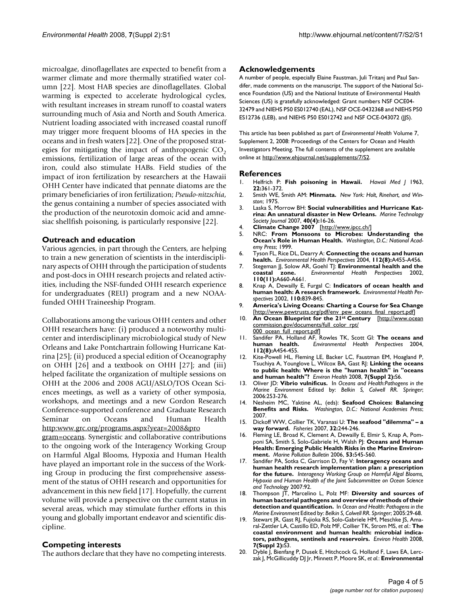microalgae, dinoflagellates are expected to benefit from a warmer climate and more thermally stratified water column [22]. Most HAB species are dinoflagellates. Global warming is expected to accelerate hydrological cycles, with resultant increases in stream runoff to coastal waters surrounding much of Asia and North and South America. Nutrient loading associated with increased coastal runoff may trigger more frequent blooms of HA species in the oceans and in fresh waters [22]. One of the proposed strategies for mitigating the impact of anthropogenic  $CO<sub>2</sub>$ emissions, fertilization of large areas of the ocean with iron, could also stimulate HABs. Field studies of the impact of iron fertilization by researchers at the Hawaii OHH Center have indicated that pennate diatoms are the primary beneficiaries of iron fertilization; *Pseudo-nitzschia*, the genus containing a number of species associated with the production of the neurotoxin domoic acid and amnesiac shellfish poisoning, is particularly responsive [22].

#### **Outreach and education**

Various agencies, in part through the Centers, are helping to train a new generation of scientists in the interdisciplinary aspects of OHH through the participation of students and post-docs in OHH research projects and related activities, including the NSF-funded OHH research experience for undergraduates (REU) program and a new NOAAfunded OHH Traineeship Program.

Collaborations among the various OHH centers and other OHH researchers have: (i) produced a noteworthy multicenter and interdisciplinary microbiological study of New Orleans and Lake Pontchartrain following Hurricane Katrina [25]; (ii) produced a special edition of Oceanography on OHH [26] and a textbook on OHH [27]; and (iii) helped facilitate the organization of multiple sessions on OHH at the 2006 and 2008 AGU/ASLO/TOS Ocean Sciences meetings, as well as a variety of other symposia, workshops, and meetings and a new Gordon Research Conference-supported conference and Graduate Research Seminar on Oceans and Human Health [http:www.grc.org/programs.aspx?year=2008&pro](http://www.grc.org/programs.aspx?year=2008&program=oceans)

[gram=oceans](http://www.grc.org/programs.aspx?year=2008&program=oceans). Synergistic and collaborative contributions to the ongoing work of the Interagency Working Group on Harmful Algal Blooms, Hypoxia and Human Health have played an important role in the success of the Working Group in producing the first comprehensive assessment of the status of OHH research and opportunities for advancement in this new field [17]. Hopefully, the current volume will provide a perspective on the current status in several areas, which may stimulate further efforts in this young and globally important endeavor and scientific discipline.

#### **Competing interests**

The authors declare that they have no competing interests.

#### **Acknowledgements**

A number of people, especially Elaine Faustman, Juli Tritanj and Paul Sandifer, made comments on the manuscript. The support of the National Science Foundation (US) and the National Institute of Environmental Health Sciences (US) is gratefully acknowledged: Grant numbers NSF OCE04- 32479 and NIEHS P50 ES012740 (EAL), NSF OCE-0432368 and NIEHS P50 ES12736 (LEB), and NIEHS P50 ES012742 and NSF OCE-043072 (JJS).

This article has been published as part of *Environmental Health* Volume 7, Supplement 2, 2008: Proceedings of the Centers for Ocean and Health Investigators Meeting. The full contents of the supplement are available online at<http://www.ehjournal.net/supplements/7/S2>.

#### **References**

- 1. Helfrich P: **[Fish poisoning in Hawaii.](http://www.ncbi.nlm.nih.gov/entrez/query.fcgi?cmd=Retrieve&db=PubMed&dopt=Abstract&list_uids=13953563)** *Hawaii Med J* 1963, **22:**361-372.
- 2. Smith WE, Smith AM: **Minmata.** *New York: Holt, Rinehart, and Winston*; 1975.
- 3. Laska S, Morrow BH: **Social vulnerabilities and Hurricane Katrina: An unnatural disaster in New Orleans.** *Marine Technology Society Journal* 2007, **40(4):**16-26.
- 4. **Climate Change 2007** [\[http://www.ipcc.ch/\]](http://www.ipcc.ch/)
- 5. NRC: **From Monsoons to Microbes: Understanding the Ocean's Role in Human Health.** *Washington, D.C.: National Academy Press*; 1999.
- 6. Tyson FL, Rice DL, Dearry A: **[Connecting the oceans and human](http://www.ncbi.nlm.nih.gov/entrez/query.fcgi?cmd=Retrieve&db=PubMed&dopt=Abstract&list_uids=15175187) [health.](http://www.ncbi.nlm.nih.gov/entrez/query.fcgi?cmd=Retrieve&db=PubMed&dopt=Abstract&list_uids=15175187)** *Environmental Health Perspectives* 2004, **112(8):**A455-A456.
- 7. Stegeman JJ, Solow AR, Goehl TJ: **[Environmental health and the](http://www.ncbi.nlm.nih.gov/entrez/query.fcgi?cmd=Retrieve&db=PubMed&dopt=Abstract&list_uids=12417490) [coastal zone.](http://www.ncbi.nlm.nih.gov/entrez/query.fcgi?cmd=Retrieve&db=PubMed&dopt=Abstract&list_uids=12417490)** *Environmental Health Perspectives* 2002, **110(11):**A660-A661.
- 8. Knap A, Dewailly E, Furgal C: **[Indicators of ocean health and](http://www.ncbi.nlm.nih.gov/entrez/query.fcgi?cmd=Retrieve&db=PubMed&dopt=Abstract&list_uids=12204815) [human health: A research framework.](http://www.ncbi.nlm.nih.gov/entrez/query.fcgi?cmd=Retrieve&db=PubMed&dopt=Abstract&list_uids=12204815)** *Environmental Health Perspectives* 2002, **110:**839-845.
- 9. **America's Living Oceans: Charting a Course for Sea Change**
- [[http://www.pewtrusts.org/pdf/env\\_pew\\_oceans\\_final\\_report.pdf\]](http://www.pewtrusts.org/pdf/env_pew_oceans_final_report.pdf)<br>An Ocean Blueprint for the 21<sup>st</sup> Century [http://www.ocean 10. **An Ocean Blueprint for the 21st Century** [commission.gov/documents/full\\_color\\_rpt/](http://www.oceancommission.gov/documents/full_color_rpt/000_ocean_full_report.pdf) [000\\_ocean\\_full\\_report.pdf\]](http://www.oceancommission.gov/documents/full_color_rpt/000_ocean_full_report.pdf)
- 11. Sandifer PA, Holland AF, Rowles TK, Scott GI: **[The oceans and](http://www.ncbi.nlm.nih.gov/entrez/query.fcgi?cmd=Retrieve&db=PubMed&dopt=Abstract&list_uids=15175186) [human health.](http://www.ncbi.nlm.nih.gov/entrez/query.fcgi?cmd=Retrieve&db=PubMed&dopt=Abstract&list_uids=15175186)** *Environmental Health Perspectives* 2004, **112(8):**A454-455.
- 12. Kite-Powell HL, Fleming LE, Backer LC, Faustman EM, Hoagland P, Tsuchiya A, Younglove L, Wilcox BA, Gast RJ: **Linking the oceans to public health: Where is the "human health" in "oceans and human health"?** *Environ Health* 2008, **7(Suppl 2):**S6.
- 13. Oliver JD: **Vibrio vulnificus.** In *Oceans and Health:Pathogens in the Marine Environment* Edited by: *Belkin S, Colwell RR*. *Springer*; 2006:253-276.
- 14. Nesheim MC, Yaktine AL, (eds): **Seafood Choices: Balancing Benefits and Risks.** *Washington, D.C.: National Academies Press*; 2007.
- 15. Dickoff WW, Collier TK, Varanasi U: **The seafood "dilemma" a way forward.** *Fisheries* 2007, **32:**244-246.
- 16. Fleming LE, Broad K, Clement A, Dewailly E, Elmir S, Knap A, Pomponi SA, Smith S, Solo-Gabriele H, Walsh PJ: **[Oceans and Human](http://www.ncbi.nlm.nih.gov/entrez/query.fcgi?cmd=Retrieve&db=PubMed&dopt=Abstract&list_uids=16996542) [Health: Emerging Public Health Risks in the Marine Environ](http://www.ncbi.nlm.nih.gov/entrez/query.fcgi?cmd=Retrieve&db=PubMed&dopt=Abstract&list_uids=16996542)[ment.](http://www.ncbi.nlm.nih.gov/entrez/query.fcgi?cmd=Retrieve&db=PubMed&dopt=Abstract&list_uids=16996542)** *Marine Pollution Bulletin* 2006, **53:**545-560.
- 17. Sandifer PA, Sotka C, Garrison D, Fay V: **Interagency oceans and human health research implementation plan: a prescription for the future.** *Interagency Working Group on Harmful Algal Blooms, Hypoxia and Human Health of the Joint Subcommittee on Ocean Science and Technology* 2007:92.
- 18. Thompson JT, Marcelino L, Polz MF: **Diversity and sources of human bacterial pathogens and overview of methods of their detection and quantification.** In *Ocean and Health: Pathogens in the Marine Environment* Edited by: *Belkin S, Colwell RR*. *Springer*; 2005:29-68.
- 19. Stewart JR, Gast RJ, Fujioka RS, Solo-Gabriele HM, Meschke JS, Amaral-Zettler LA, Castillo ED, Polz MF, Collier TK, Strom MS, *et al.*: **The coastal environment and human health: microbial indicators, pathogens, sentinels and reservoirs.** *Environ Health* 2008, **7(Suppl 2):**S3.
- 20. Dyble J, Bienfang P, Dusek E, Hitchcock G, Holland F, Laws EA, Lerczak J, McGillicuddy DJ Jr, Minnett P, Moore SK, *et al.*: **Environmental**